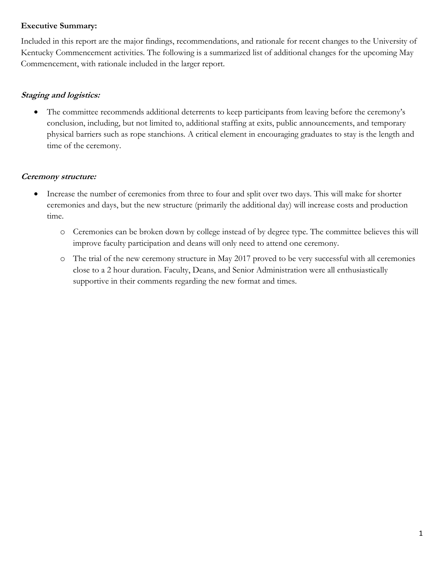#### **Executive Summary:**

Included in this report are the major findings, recommendations, and rationale for recent changes to the University of Kentucky Commencement activities. The following is a summarized list of additional changes for the upcoming May Commencement, with rationale included in the larger report.

### **Staging and logistics:**

 The committee recommends additional deterrents to keep participants from leaving before the ceremony's conclusion, including, but not limited to, additional staffing at exits, public announcements, and temporary physical barriers such as rope stanchions. A critical element in encouraging graduates to stay is the length and time of the ceremony.

# **Ceremony structure:**

- Increase the number of ceremonies from three to four and split over two days. This will make for shorter ceremonies and days, but the new structure (primarily the additional day) will increase costs and production time.
	- o Ceremonies can be broken down by college instead of by degree type. The committee believes this will improve faculty participation and deans will only need to attend one ceremony.
	- o The trial of the new ceremony structure in May 2017 proved to be very successful with all ceremonies close to a 2 hour duration. Faculty, Deans, and Senior Administration were all enthusiastically supportive in their comments regarding the new format and times.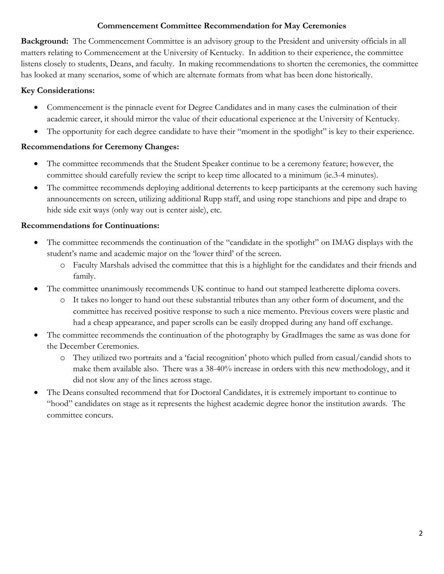### **Commencement Committee Recommendation for May Ceremonies**

**Background:** The Commencement Committee is an advisory group to the President and university officials in all matters relating to Commencement at the University of Kentucky. In addition to their experience, the committee listens closely to students, Deans, and faculty. In making recommendations to shorten the ceremonies, the committee has looked at many scenarios, some of which are alternate formats from what has been done historically.

# **Key Considerations:**

- Commencement is the pinnacle event for Degree Candidates and in many cases the culmination of their academic career, it should mirror the value of their educational experience at the University of Kentucky.
- The opportunity for each degree candidate to have their "moment in the spotlight" is key to their experience.

# **Recommendations for Ceremony Changes:**

- The committee recommends that the Student Speaker continue to be a ceremony feature; however, the committee should carefully review the script to keep time allocated to a minimum (ie.3-4 minutes).
- The committee recommends deploying additional deterrents to keep participants at the ceremony such having announcements on screen, utilizing additional Rupp staff, and using rope stanchions and pipe and drape to hide side exit ways (only way out is center aisle), etc.

# **Recommendations for Continuations:**

- The committee recommends the continuation of the "candidate in the spotlight" on IMAG displays with the student's name and academic major on the 'lower third' of the screen.
	- o Faculty Marshals advised the committee that this is a highlight for the candidates and their friends and family.
- The committee unanimously recommends UK continue to hand out stamped leatherette diploma covers.
	- o It takes no longer to hand out these substantial tributes than any other form of document, and the committee has received positive response to such a nice memento. Previous covers were plastic and had a cheap appearance, and paper scrolls can be easily dropped during any hand off exchange.
- The committee recommends the continuation of the photography by GradImages the same as was done for the December Ceremonies.
	- o They utilized two portraits and a 'facial recognition' photo which pulled from casual/candid shots to make them available also. There was a 38-40% increase in orders with this new methodology, and it did not slow any of the lines across stage.
- The Deans consulted recommend that for Doctoral Candidates, it is extremely important to continue to "hood" candidates on stage as it represents the highest academic degree honor the institution awards. The committee concurs.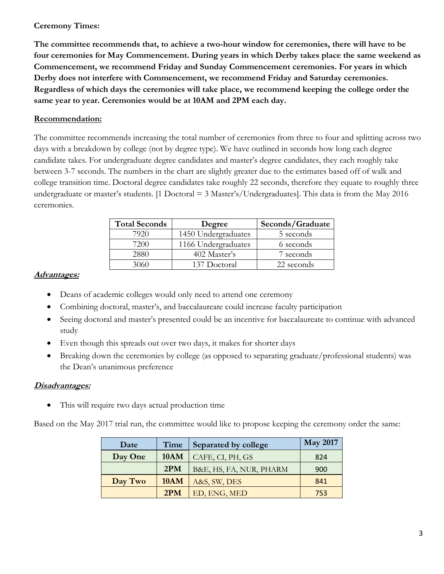### **Ceremony Times:**

**The committee recommends that, to achieve a two-hour window for ceremonies, there will have to be four ceremonies for May Commencement. During years in which Derby takes place the same weekend as Commencement, we recommend Friday and Sunday Commencement ceremonies. For years in which Derby does not interfere with Commencement, we recommend Friday and Saturday ceremonies. Regardless of which days the ceremonies will take place, we recommend keeping the college order the same year to year. Ceremonies would be at 10AM and 2PM each day.** 

# **Recommendation:**

The committee recommends increasing the total number of ceremonies from three to four and splitting across two days with a breakdown by college (not by degree type). We have outlined in seconds how long each degree candidate takes. For undergraduate degree candidates and master's degree candidates, they each roughly take between 3-7 seconds. The numbers in the chart are slightly greater due to the estimates based off of walk and college transition time. Doctoral degree candidates take roughly 22 seconds, therefore they equate to roughly three undergraduate or master's students. [1 Doctoral  $=$  3 Master's/Undergraduates]. This data is from the May 2016 ceremonies.

| <b>Total Seconds</b> | Degree              | Seconds/Graduate |  |  |  |  |  |
|----------------------|---------------------|------------------|--|--|--|--|--|
| 7920                 | 1450 Undergraduates | 5 seconds        |  |  |  |  |  |
| 7200                 | 1166 Undergraduates | 6 seconds        |  |  |  |  |  |
|                      | 402 Master's        | 7 seconds        |  |  |  |  |  |
| 3060                 | 137 Doctoral        | 22 seconds       |  |  |  |  |  |

#### **Advantages:**

- Deans of academic colleges would only need to attend one ceremony
- Combining doctoral, master's, and baccalaureate could increase faculty participation
- Seeing doctoral and master's presented could be an incentive for baccalaureate to continue with advanced study
- Even though this spreads out over two days, it makes for shorter days
- Breaking down the ceremonies by college (as opposed to separating graduate/professional students) was the Dean's unanimous preference

#### **Disadvantages:**

This will require two days actual production time

Based on the May 2017 trial run, the committee would like to propose keeping the ceremony order the same:

| Date    | Time        | Separated by college    | <b>May 2017</b> |  |
|---------|-------------|-------------------------|-----------------|--|
| Day One | <b>10AM</b> | CAFE, CI, PH, GS        | 824             |  |
|         | 2PM         | B&E, HS, FA, NUR, PHARM | 900             |  |
| Day Two | <b>10AM</b> | A&S, SW, DES            | 841             |  |
|         | 2PM         | ED, ENG, MED            | 753             |  |